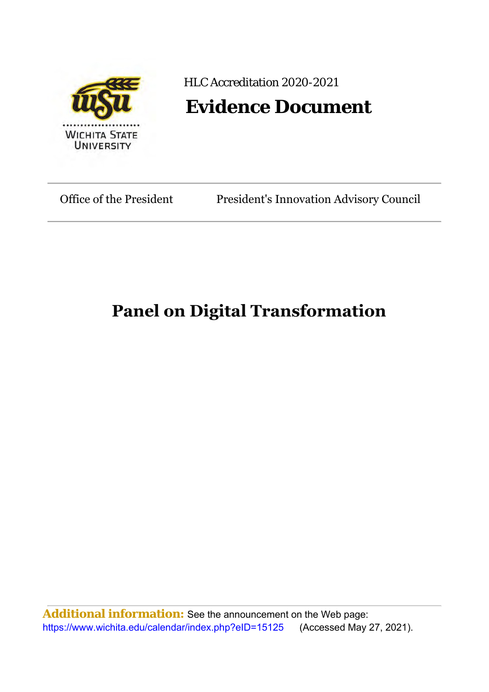

## HLC Accreditation 2020-2021

## **Evidence Document**

Office of the President President's Innovation Advisory Council

## **Panel on Digital Transformation**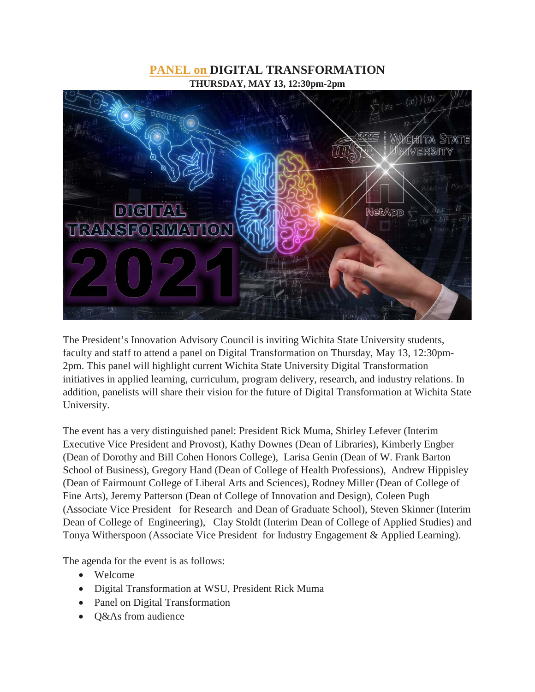## **PANEL on DIGITAL TRANSFORMATION THURSDAY, MAY 13, 12:30pm-2pm**



The President's Innovation Advisory Council is inviting Wichita State University students, faculty and staff to attend a panel on Digital Transformation on Thursday, May 13, 12:30pm-2pm. This panel will highlight current Wichita State University Digital Transformation initiatives in applied learning, curriculum, program delivery, research, and industry relations. In addition, panelists will share their vision for the future of Digital Transformation at Wichita State University.

The event has a very distinguished panel: President Rick Muma, Shirley Lefever (Interim Executive Vice President and Provost), Kathy Downes (Dean of Libraries), Kimberly Engber (Dean of Dorothy and Bill Cohen Honors College), Larisa Genin (Dean of W. Frank Barton School of Business), Gregory Hand (Dean of College of Health Professions), Andrew Hippisley (Dean of Fairmount College of Liberal Arts and Sciences), Rodney Miller (Dean of College of Fine Arts), Jeremy Patterson (Dean of College of Innovation and Design), Coleen Pugh (Associate Vice President for Research and Dean of Graduate School), Steven Skinner (Interim Dean of College of Engineering), Clay Stoldt (Interim Dean of College of Applied Studies) and Tonya Witherspoon (Associate Vice President for Industry Engagement & Applied Learning).

The agenda for the event is as follows:

- Welcome
- Digital Transformation at WSU, President Rick Muma
- Panel on Digital Transformation
- Q&As from audience